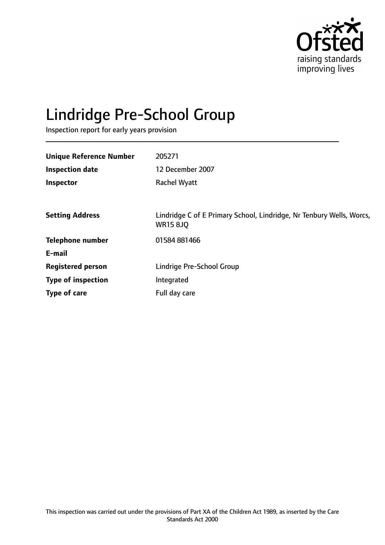

# Lindridge Pre-School Group

Inspection report for early years provision

| <b>Unique Reference Number</b> | 205271                                                                                  |
|--------------------------------|-----------------------------------------------------------------------------------------|
| <b>Inspection date</b>         | 12 December 2007                                                                        |
| Inspector                      | <b>Rachel Wyatt</b>                                                                     |
|                                |                                                                                         |
| <b>Setting Address</b>         | Lindridge C of E Primary School, Lindridge, Nr Tenbury Wells, Worcs,<br><b>WR15 8JQ</b> |
| <b>Telephone number</b>        | 01584 881466                                                                            |
| E-mail                         |                                                                                         |
| <b>Registered person</b>       | Lindrige Pre-School Group                                                               |
| <b>Type of inspection</b>      | Integrated                                                                              |
| Type of care                   | Full day care                                                                           |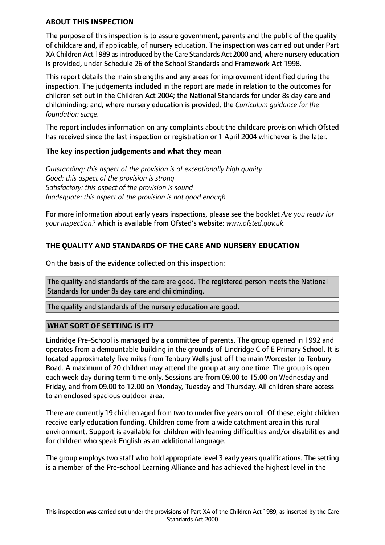#### **ABOUT THIS INSPECTION**

The purpose of this inspection is to assure government, parents and the public of the quality of childcare and, if applicable, of nursery education. The inspection was carried out under Part XA Children Act 1989 as introduced by the Care Standards Act 2000 and, where nursery education is provided, under Schedule 26 of the School Standards and Framework Act 1998.

This report details the main strengths and any areas for improvement identified during the inspection. The judgements included in the report are made in relation to the outcomes for children set out in the Children Act 2004; the National Standards for under 8s day care and childminding; and, where nursery education is provided, the *Curriculum guidance for the foundation stage.*

The report includes information on any complaints about the childcare provision which Ofsted has received since the last inspection or registration or 1 April 2004 whichever is the later.

## **The key inspection judgements and what they mean**

*Outstanding: this aspect of the provision is of exceptionally high quality Good: this aspect of the provision is strong Satisfactory: this aspect of the provision is sound Inadequate: this aspect of the provision is not good enough*

For more information about early years inspections, please see the booklet *Are you ready for your inspection?* which is available from Ofsted's website: *www.ofsted.gov.uk.*

# **THE QUALITY AND STANDARDS OF THE CARE AND NURSERY EDUCATION**

On the basis of the evidence collected on this inspection:

The quality and standards of the care are good. The registered person meets the National Standards for under 8s day care and childminding.

The quality and standards of the nursery education are good.

## **WHAT SORT OF SETTING IS IT?**

Lindridge Pre-School is managed by a committee of parents. The group opened in 1992 and operates from a demountable building in the grounds of Lindridge C of E Primary School. It is located approximately five miles from Tenbury Wells just off the main Worcester to Tenbury Road. A maximum of 20 children may attend the group at any one time. The group is open each week day during term time only. Sessions are from 09.00 to 15.00 on Wednesday and Friday, and from 09.00 to 12.00 on Monday, Tuesday and Thursday. All children share access to an enclosed spacious outdoor area.

There are currently 19 children aged from two to under five years on roll. Of these, eight children receive early education funding. Children come from a wide catchment area in this rural environment. Support is available for children with learning difficulties and/or disabilities and for children who speak English as an additional language.

The group employs two staff who hold appropriate level 3 early years qualifications. The setting is a member of the Pre-school Learning Alliance and has achieved the highest level in the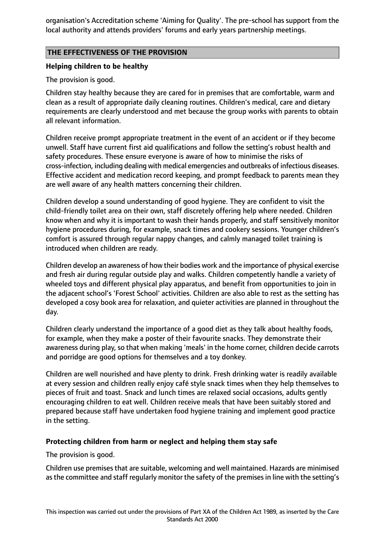organisation's Accreditation scheme 'Aiming for Quality'. The pre-school has support from the local authority and attends providers' forums and early years partnership meetings.

## **THE EFFECTIVENESS OF THE PROVISION**

# **Helping children to be healthy**

The provision is good.

Children stay healthy because they are cared for in premises that are comfortable, warm and clean as a result of appropriate daily cleaning routines. Children's medical, care and dietary requirements are clearly understood and met because the group works with parents to obtain all relevant information.

Children receive prompt appropriate treatment in the event of an accident or if they become unwell. Staff have current first aid qualifications and follow the setting's robust health and safety procedures. These ensure everyone is aware of how to minimise the risks of cross-infection, including dealing with medical emergencies and outbreaks of infectious diseases. Effective accident and medication record keeping, and prompt feedback to parents mean they are well aware of any health matters concerning their children.

Children develop a sound understanding of good hygiene. They are confident to visit the child-friendly toilet area on their own, staff discretely offering help where needed. Children know when and why it is important to wash their hands properly, and staff sensitively monitor hygiene procedures during, for example, snack times and cookery sessions. Younger children's comfort is assured through regular nappy changes, and calmly managed toilet training is introduced when children are ready.

Children develop an awareness of how their bodies work and the importance of physical exercise and fresh air during regular outside play and walks. Children competently handle a variety of wheeled toys and different physical play apparatus, and benefit from opportunities to join in the adjacent school's 'Forest School' activities. Children are also able to rest as the setting has developed a cosy book area for relaxation, and quieter activities are planned in throughout the day.

Children clearly understand the importance of a good diet as they talk about healthy foods, for example, when they make a poster of their favourite snacks. They demonstrate their awareness during play, so that when making 'meals' in the home corner, children decide carrots and porridge are good options for themselves and a toy donkey.

Children are well nourished and have plenty to drink. Fresh drinking water is readily available at every session and children really enjoy café style snack times when they help themselves to pieces of fruit and toast. Snack and lunch times are relaxed social occasions, adults gently encouraging children to eat well. Children receive meals that have been suitably stored and prepared because staff have undertaken food hygiene training and implement good practice in the setting.

# **Protecting children from harm or neglect and helping them stay safe**

The provision is good.

Children use premises that are suitable, welcoming and well maintained. Hazards are minimised as the committee and staff regularly monitor the safety of the premises in line with the setting's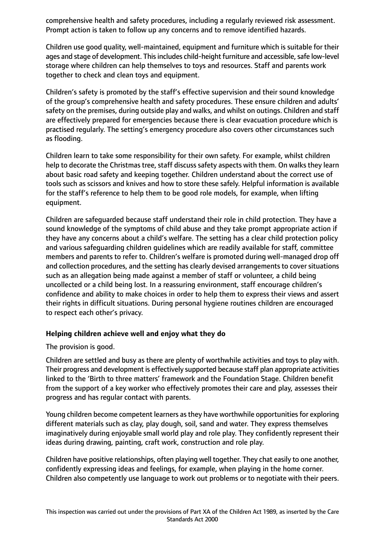comprehensive health and safety procedures, including a regularly reviewed risk assessment. Prompt action is taken to follow up any concerns and to remove identified hazards.

Children use good quality, well-maintained, equipment and furniture which is suitable for their ages and stage of development. This includes child-height furniture and accessible, safe low-level storage where children can help themselves to toys and resources. Staff and parents work together to check and clean toys and equipment.

Children's safety is promoted by the staff's effective supervision and their sound knowledge of the group's comprehensive health and safety procedures. These ensure children and adults' safety on the premises, during outside play and walks, and whilst on outings. Children and staff are effectively prepared for emergencies because there is clear evacuation procedure which is practised regularly. The setting's emergency procedure also covers other circumstances such as flooding.

Children learn to take some responsibility for their own safety. For example, whilst children help to decorate the Christmas tree, staff discuss safety aspects with them. On walks they learn about basic road safety and keeping together. Children understand about the correct use of tools such as scissors and knives and how to store these safely. Helpful information is available for the staff's reference to help them to be good role models, for example, when lifting equipment.

Children are safeguarded because staff understand their role in child protection. They have a sound knowledge of the symptoms of child abuse and they take prompt appropriate action if they have any concerns about a child's welfare. The setting has a clear child protection policy and various safeguarding children guidelines which are readily available for staff, committee members and parents to refer to. Children's welfare is promoted during well-managed drop off and collection procedures, and the setting has clearly devised arrangements to cover situations such as an allegation being made against a member of staff or volunteer, a child being uncollected or a child being lost. In a reassuring environment, staff encourage children's confidence and ability to make choices in order to help them to express their views and assert their rights in difficult situations. During personal hygiene routines children are encouraged to respect each other's privacy.

## **Helping children achieve well and enjoy what they do**

The provision is good.

Children are settled and busy as there are plenty of worthwhile activities and toys to play with. Their progress and development is effectively supported because staff plan appropriate activities linked to the 'Birth to three matters' framework and the Foundation Stage. Children benefit from the support of a key worker who effectively promotes their care and play, assesses their progress and has regular contact with parents.

Young children become competent learners asthey have worthwhile opportunitiesfor exploring different materials such as clay, play dough, soil, sand and water. They express themselves imaginatively during enjoyable small world play and role play. They confidently represent their ideas during drawing, painting, craft work, construction and role play.

Children have positive relationships, often playing well together. They chat easily to one another, confidently expressing ideas and feelings, for example, when playing in the home corner. Children also competently use language to work out problems or to negotiate with their peers.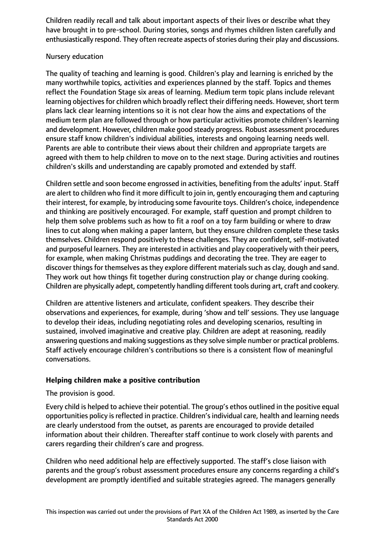Children readily recall and talk about important aspects of their lives or describe what they have brought in to pre-school. During stories, songs and rhymes children listen carefully and enthusiastically respond. They often recreate aspects of stories during their play and discussions.

# Nursery education

The quality of teaching and learning is good. Children's play and learning is enriched by the many worthwhile topics, activities and experiences planned by the staff. Topics and themes reflect the Foundation Stage six areas of learning. Medium term topic plans include relevant learning objectives for children which broadly reflect their differing needs. However, short term plans lack clear learning intentions so it is not clear how the aims and expectations of the medium term plan are followed through or how particular activities promote children's learning and development. However, children make good steady progress. Robust assessment procedures ensure staff know children's individual abilities, interests and ongoing learning needs well. Parents are able to contribute their views about their children and appropriate targets are agreed with them to help children to move on to the next stage. During activities and routines children's skills and understanding are capably promoted and extended by staff.

Children settle and soon become engrossed in activities, benefiting from the adults' input. Staff are alert to children who find it more difficult to join in, gently encouraging them and capturing their interest, for example, by introducing some favourite toys. Children's choice, independence and thinking are positively encouraged. For example, staff question and prompt children to help them solve problems such as how to fit a roof on a toy farm building or where to draw lines to cut along when making a paper lantern, but they ensure children complete these tasks themselves. Children respond positively to these challenges. They are confident, self-motivated and purposeful learners. They are interested in activities and play cooperatively with their peers, for example, when making Christmas puddings and decorating the tree. They are eager to discover things for themselves as they explore different materials such as clay, dough and sand. They work out how things fit together during construction play or change during cooking. Children are physically adept, competently handling different tools during art, craft and cookery.

Children are attentive listeners and articulate, confident speakers. They describe their observations and experiences, for example, during 'show and tell' sessions. They use language to develop their ideas, including negotiating roles and developing scenarios, resulting in sustained, involved imaginative and creative play. Children are adept at reasoning, readily answering questions and making suggestions as they solve simple number or practical problems. Staff actively encourage children's contributions so there is a consistent flow of meaningful conversations.

# **Helping children make a positive contribution**

## The provision is good.

Every child is helped to achieve their potential. The group's ethos outlined in the positive equal opportunities policy is reflected in practice. Children's individual care, health and learning needs are clearly understood from the outset, as parents are encouraged to provide detailed information about their children. Thereafter staff continue to work closely with parents and carers regarding their children's care and progress.

Children who need additional help are effectively supported. The staff's close liaison with parents and the group's robust assessment procedures ensure any concerns regarding a child's development are promptly identified and suitable strategies agreed. The managers generally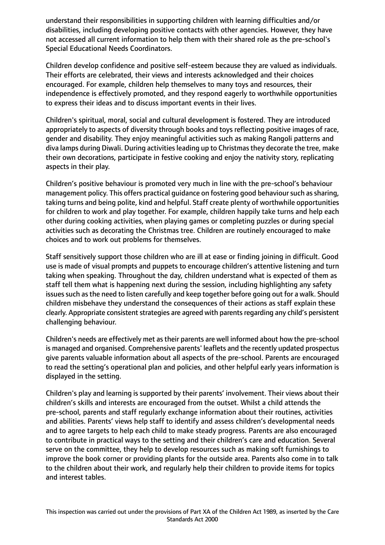understand their responsibilities in supporting children with learning difficulties and/or disabilities, including developing positive contacts with other agencies. However, they have not accessed all current information to help them with their shared role as the pre-school's Special Educational Needs Coordinators.

Children develop confidence and positive self-esteem because they are valued as individuals. Their efforts are celebrated, their views and interests acknowledged and their choices encouraged. For example, children help themselves to many toys and resources, their independence is effectively promoted, and they respond eagerly to worthwhile opportunities to express their ideas and to discuss important events in their lives.

Children's spiritual, moral, social and cultural development is fostered. They are introduced appropriately to aspects of diversity through books and toys reflecting positive images of race, gender and disability. They enjoy meaningful activities such as making Rangoli patterns and diva lamps during Diwali. During activities leading up to Christmas they decorate the tree, make their own decorations, participate in festive cooking and enjoy the nativity story, replicating aspects in their play.

Children's positive behaviour is promoted very much in line with the pre-school's behaviour management policy. This offers practical quidance on fostering good behaviour such as sharing, taking turns and being polite, kind and helpful. Staff create plenty of worthwhile opportunities for children to work and play together. For example, children happily take turns and help each other during cooking activities, when playing games or completing puzzles or during special activities such as decorating the Christmas tree. Children are routinely encouraged to make choices and to work out problems for themselves.

Staff sensitively support those children who are ill at ease or finding joining in difficult. Good use is made of visual prompts and puppets to encourage children's attentive listening and turn taking when speaking. Throughout the day, children understand what is expected of them as staff tell them what is happening next during the session, including highlighting any safety issues such as the need to listen carefully and keep together before going out for a walk. Should children misbehave they understand the consequences of their actions as staff explain these clearly. Appropriate consistent strategies are agreed with parents regarding any child's persistent challenging behaviour.

Children's needs are effectively met astheir parents are well informed about how the pre-school is managed and organised. Comprehensive parents' leaflets and the recently updated prospectus give parents valuable information about all aspects of the pre-school. Parents are encouraged to read the setting's operational plan and policies, and other helpful early years information is displayed in the setting.

Children's play and learning is supported by their parents' involvement. Their views about their children's skills and interests are encouraged from the outset. Whilst a child attends the pre-school, parents and staff regularly exchange information about their routines, activities and abilities. Parents' views help staff to identify and assess children's developmental needs and to agree targets to help each child to make steady progress. Parents are also encouraged to contribute in practical ways to the setting and their children's care and education. Several serve on the committee, they help to develop resources such as making soft furnishings to improve the book corner or providing plants for the outside area. Parents also come in to talk to the children about their work, and regularly help their children to provide items for topics and interest tables.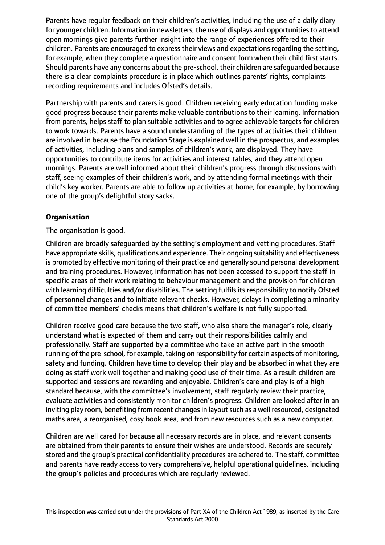Parents have regular feedback on their children's activities, including the use of a daily diary for younger children. Information in newsletters, the use of displays and opportunities to attend open mornings give parents further insight into the range of experiences offered to their children. Parents are encouraged to express their views and expectations regarding the setting, for example, when they complete a questionnaire and consent form when their child first starts. Should parents have any concerns about the pre-school, their children are safeguarded because there is a clear complaints procedure is in place which outlines parents' rights, complaints recording requirements and includes Ofsted's details.

Partnership with parents and carers is good. Children receiving early education funding make good progress because their parents make valuable contributions to their learning. Information from parents, helps staff to plan suitable activities and to agree achievable targets for children to work towards. Parents have a sound understanding of the types of activities their children are involved in because the Foundation Stage is explained well in the prospectus, and examples of activities, including plans and samples of children's work, are displayed. They have opportunities to contribute items for activities and interest tables, and they attend open mornings. Parents are well informed about their children's progress through discussions with staff, seeing examples of their children's work, and by attending formal meetings with their child's key worker. Parents are able to follow up activities at home, for example, by borrowing one of the group's delightful story sacks.

# **Organisation**

The organisation is good.

Children are broadly safeguarded by the setting's employment and vetting procedures. Staff have appropriate skills, qualifications and experience. Their ongoing suitability and effectiveness is promoted by effective monitoring of their practice and generally sound personal development and training procedures. However, information has not been accessed to support the staff in specific areas of their work relating to behaviour management and the provision for children with learning difficulties and/or disabilities. The setting fulfils its responsibility to notify Ofsted of personnel changes and to initiate relevant checks. However, delays in completing a minority of committee members' checks means that children's welfare is not fully supported.

Children receive good care because the two staff, who also share the manager's role, clearly understand what is expected of them and carry out their responsibilities calmly and professionally. Staff are supported by a committee who take an active part in the smooth running of the pre-school, for example, taking on responsibility for certain aspects of monitoring, safety and funding. Children have time to develop their play and be absorbed in what they are doing as staff work well together and making good use of their time. As a result children are supported and sessions are rewarding and enjoyable. Children's care and play is of a high standard because, with the committee's involvement, staff regularly review their practice, evaluate activities and consistently monitor children's progress. Children are looked after in an inviting play room, benefiting from recent changes in layout such as a well resourced, designated maths area, a reorganised, cosy book area, and from new resources such as a new computer.

Children are well cared for because all necessary records are in place, and relevant consents are obtained from their parents to ensure their wishes are understood. Records are securely stored and the group's practical confidentiality procedures are adhered to. The staff, committee and parents have ready access to very comprehensive, helpful operational guidelines, including the group's policies and procedures which are regularly reviewed.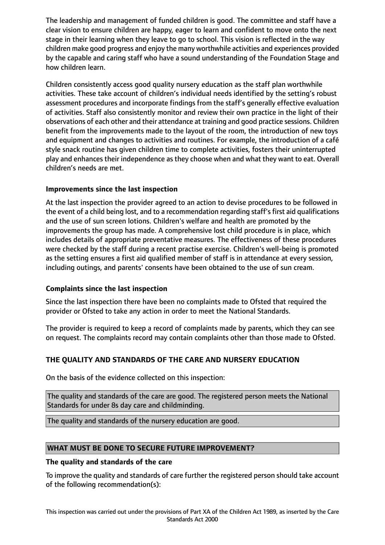The leadership and management of funded children is good. The committee and staff have a clear vision to ensure children are happy, eager to learn and confident to move onto the next stage in their learning when they leave to go to school. This vision is reflected in the way children make good progress and enjoy the many worthwhile activities and experiences provided by the capable and caring staff who have a sound understanding of the Foundation Stage and how children learn.

Children consistently access good quality nursery education as the staff plan worthwhile activities. These take account of children's individual needs identified by the setting's robust assessment procedures and incorporate findings from the staff's generally effective evaluation of activities. Staff also consistently monitor and review their own practice in the light of their observations of each other and their attendance at training and good practice sessions. Children benefit from the improvements made to the layout of the room, the introduction of new toys and equipment and changes to activities and routines. For example, the introduction of a café style snack routine has given children time to complete activities, fosters their uninterrupted play and enhances their independence as they choose when and what they want to eat. Overall children's needs are met.

# **Improvements since the last inspection**

At the last inspection the provider agreed to an action to devise procedures to be followed in the event of a child being lost, and to a recommendation regarding staff's first aid qualifications and the use of sun screen lotions. Children's welfare and health are promoted by the improvements the group has made. A comprehensive lost child procedure is in place, which includes details of appropriate preventative measures. The effectiveness of these procedures were checked by the staff during a recent practise exercise. Children's well-being is promoted as the setting ensures a first aid qualified member of staff is in attendance at every session, including outings, and parents' consents have been obtained to the use of sun cream.

## **Complaints since the last inspection**

Since the last inspection there have been no complaints made to Ofsted that required the provider or Ofsted to take any action in order to meet the National Standards.

The provider is required to keep a record of complaints made by parents, which they can see on request. The complaints record may contain complaints other than those made to Ofsted.

# **THE QUALITY AND STANDARDS OF THE CARE AND NURSERY EDUCATION**

On the basis of the evidence collected on this inspection:

The quality and standards of the care are good. The registered person meets the National Standards for under 8s day care and childminding.

The quality and standards of the nursery education are good.

## **WHAT MUST BE DONE TO SECURE FUTURE IMPROVEMENT?**

## **The quality and standards of the care**

To improve the quality and standards of care further the registered person should take account of the following recommendation(s):